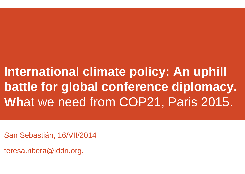## **International climate policy: An uphill battle for global conference diplomacy. Wh**at we need from COP21, Paris 2015.

San Sebastián, 16/VII/2014

teresa.ribera@iddri.org.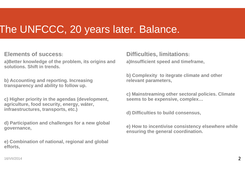### The UNFCCC, 20 years later. Balance.

**Elements of success:**

**a)Better knowledge of the problem, its origins and solutions. Shift in trends.**

**b) Accounting and reporting. Increasing transparency and ability to follow up.**

**c) Higher priority in the agendas (development, agriculture, food security, energy, wáter, infraestructures, transports, etc.)**

**d) Participation and challenges for a new global governance,**

**e) Combination of national, regional and global efforts,**

**Difficulties, limitations: a)Insufficient speed and timeframe,**

**b) Complexity to itegrate climate and other relevant parameters,**

**c) Mainstreaming other sectoral policies. Climate seems to be expensive, complex…**

**d) Difficulties to build consensus,**

**e) How to incentivise consistency elsewhere while ensuring the general coordination.**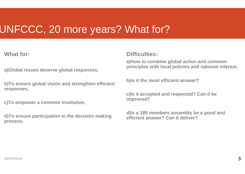### UNFCCC, 20 more years? What for?

**What for:**

**a)Global issues deserve global responses,**

**b)To ensure global visión and strenghten efficient responses,**

**c)To empower a common institution,**

**d)To ensure participation in the decisión making process.**

#### **Difficulties:**

**a)How to combine global action and common principles with local policies and national interest.**

**b)Is it the most efficient answer?** 

**c)Is it accepted and respected? Can it be improved?** 

**d)Is a 189 members assambly be a good and efficient answer? Can it deliver?**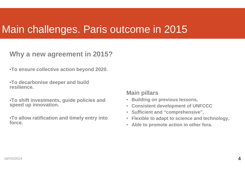### Main challenges. Paris outcome in 2015

### **Why a new agreement in 2015?**

•**To ensure collective action beyond 2020.** 

•**To decarbonise deeper and build resilience.**

•**To shift investments, guide policies and speed up innovation.**

•**To allow ratification and timely entry into force.**

#### **Main pillars**

- **Building on previous lessons,**
- **Consistent development of UNFCCC**
- $\bullet$ **Sufficient and "comprehensive",**
- $\bullet$ **Flexible to adapt to science and technology,**
- $\bullet$ **Able to promote action in other fora.**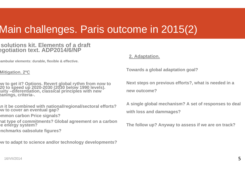## Main challenges. Paris outcome in 2015(2)

#### **solutions kit. Elements of a draft egotiation text. ADP2014/6/NP**

**eambular elements: durable, flexible & effective.**

#### **Mitigation. 2ºC**

- **ow to get it? Options. Revert global rythm from now to 20 to speed up 2020-2030 (2030 below 1990 levels). quity –diferentiation, classical principles with new eanings, criteria-.**
- **an it be combined with national/regional/sectoral efforts? ow to cover an eventual gap?**
- **ommon carbon Price signals?**
- **hat type of commitments? Global agreement on a carbon e** energy system?
- **enchmarks oabsolute figures?**

**ow to adapt to science and/or technology developments?**

#### **2. Adaptation.**

**Towards a global adaptation goal?**

**Next steps on previous efforts?, what is needed in a new outcome?**

**A single global mechanism? A set of responses to deal with loss and dammages?**

**The follow up? Anyway to assess if we are on track?**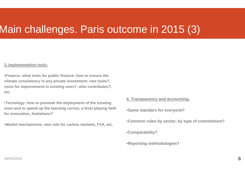### Main challenges. Paris outcome in 2015 (3)

#### **3. Implementation tools:**

•**Finance: what tools for public finance; how to ensure the climate consistency in any private investment; new tools?, room for improvement in existing ones?, who contributes?, etc.**

•**Tecnology: how to promote the deployment of the existing ones and to speed up the learning curves, a level playing field for innovation, limitations?**

•**Market mechanisms; new role for carbon markets, FVA, etc.**

#### **4. Transparency and accounting.**

•**Same standars for everyone?**

•**Common rules by sector, by type of commitment?**

•**Comparability?**

•**Reporting methodologies?**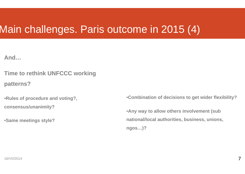### Main challenges. Paris outcome in 2015 (4)

**And…**

**Time to rethink UNFCCC working patterns?**

•**Rules of procedure and voting?, consensus/unanimity?**

•**Same meetings style?**

•**Combination of decisions to get wider flexibility?**

•**Any way to allow others involvement (sub national/local authorities, business, unions, ngos…)?**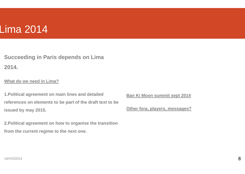### Lima 2014

**Succeeding in Paris depends on Lima 2014.** 

#### **What do we need in Lima?**

**1.Political agreement on main lines and detailed references on elements to be part of the draft text to be issued by may 2015.** 

**2.Political agreement on how to organise the transition from the current regime to the next one.**

**Ban Ki Moon summit sept 2014** 

**Other fora, players, messages?**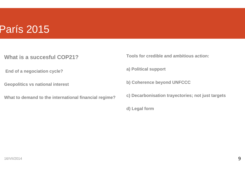### París 2015

- **What is a succesful COP21?**
- **End of a negociation cycle?**
- **Geopolitics vs national interest**
- **What to demand to the international financial regime?**
- **Tools for credible and ambitious action:**
- **a) Political support**
- **b) Coherence beyond UNFCCC**
- **c) Decarbonisation trayectories; not just targets**
- **d) Legal form**